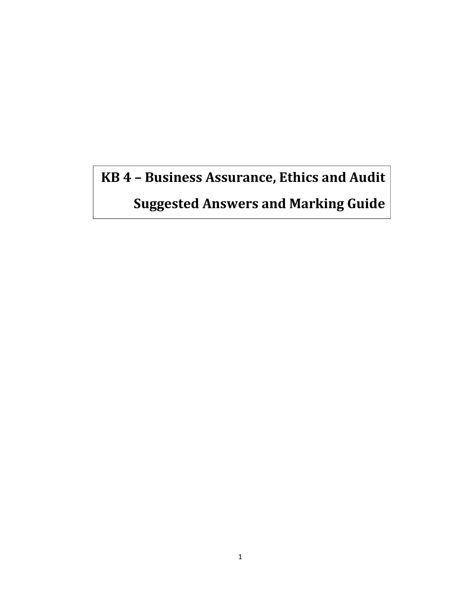# **KB 4 – Business Assurance, Ethics and Audit**

**Suggested Answers and Marking Guide**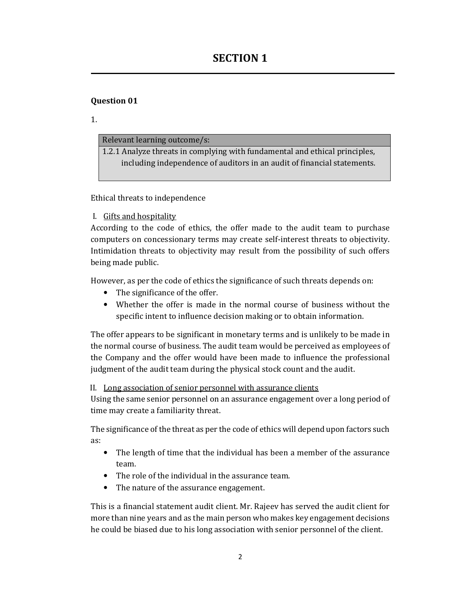1.

## Relevant learning outcome/s:

1.2.1 Analyze threats in complying with fundamental and ethical principles, including independence of auditors in an audit of financial statements.

Ethical threats to independence

I. Gifts and hospitality

According to the code of ethics, the offer made to the audit team to purchase computers on concessionary terms may create self-interest threats to objectivity. Intimidation threats to objectivity may result from the possibility of such offers being made public.

However, as per the code of ethics the significance of such threats depends on:

- The significance of the offer.
- Whether the offer is made in the normal course of business without the specific intent to influence decision making or to obtain information.

The offer appears to be significant in monetary terms and is unlikely to be made in the normal course of business. The audit team would be perceived as employees of the Company and the offer would have been made to influence the professional judgment of the audit team during the physical stock count and the audit.

II. Long association of senior personnel with assurance clients

Using the same senior personnel on an assurance engagement over a long period of time may create a familiarity threat.

The significance of the threat as per the code of ethics will depend upon factors such as:

- The length of time that the individual has been a member of the assurance team.
- The role of the individual in the assurance team.
- The nature of the assurance engagement.

This is a financial statement audit client. Mr. Rajeev has served the audit client for more than nine years and as the main person who makes key engagement decisions he could be biased due to his long association with senior personnel of the client.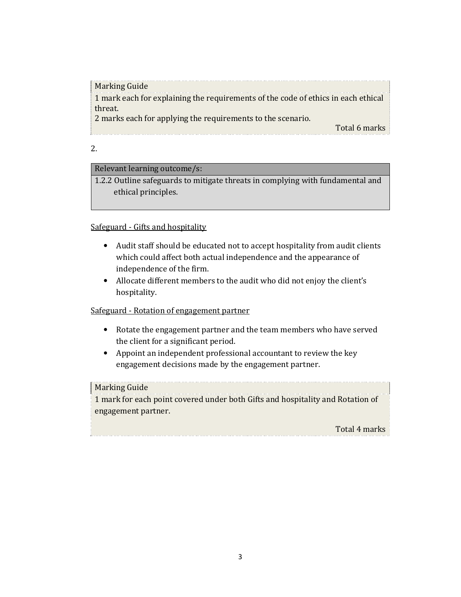## Relevant learning outcome/s:

1.2.2 Outline safeguards to mitigate threats in complying with fundamental and ethical principles.

## Safeguard - Gifts and hospitality

- Audit staff should be educated not to accept hospitality from audit clients which could affect both actual independence and the appearance of independence of the firm.
- Allocate different members to the audit who did not enjoy the client's hospitality.

## Safeguard - Rotation of engagement partner

- Rotate the engagement partner and the team members who have served the client for a significant period.
- Appoint an independent professional accountant to review the key engagement decisions made by the engagement partner.

## Marking Guide

1 mark for each point covered under both Gifts and hospitality and Rotation of engagement partner.

Total 4 marks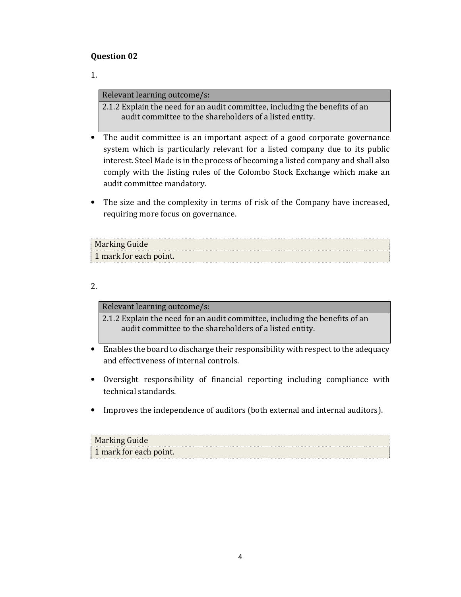1.

#### Relevant learning outcome/s:

2.1.2 Explain the need for an audit committee, including the benefits of an audit committee to the shareholders of a listed entity.

- The audit committee is an important aspect of a good corporate governance system which is particularly relevant for a listed company due to its public interest. Steel Made is in the process of becoming a listed company and shall also comply with the listing rules of the Colombo Stock Exchange which make an audit committee mandatory.
- The size and the complexity in terms of risk of the Company have increased, requiring more focus on governance.

| Marking Guide          |  |
|------------------------|--|
| 1 mark for each point. |  |

#### 2.

Relevant learning outcome/s:

2.1.2 Explain the need for an audit committee, including the benefits of an audit committee to the shareholders of a listed entity.

- Enables the board to discharge their responsibility with respect to the adequacy and effectiveness of internal controls.
- Oversight responsibility of financial reporting including compliance with technical standards.
- Improves the independence of auditors (both external and internal auditors).

| Marking Guide          |  |
|------------------------|--|
| 1 mark for each point. |  |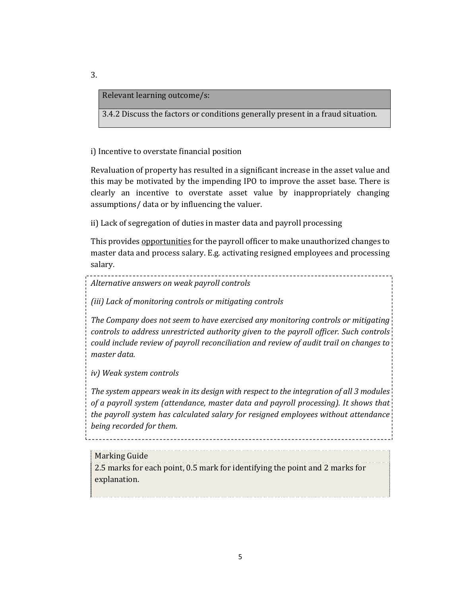#### Relevant learning outcome/s:

3.4.2 Discuss the factors or conditions generally present in a fraud situation.

i) Incentive to overstate financial position

Revaluation of property has resulted in a significant increase in the asset value and this may be motivated by the impending IPO to improve the asset base. There is clearly an incentive to overstate asset value by inappropriately changing assumptions/ data or by influencing the valuer.

ii) Lack of segregation of duties in master data and payroll processing

This provides opportunities for the payroll officer to make unauthorized changes to master data and process salary. E.g. activating resigned employees and processing salary.

*Alternative answers on weak payroll controls* 

*(iii) Lack of monitoring controls or mitigating controls* 

*The Company does not seem to have exercised any monitoring controls or mitigating controls to address unrestricted authority given to the payroll officer. Such controls could include review of payroll reconciliation and review of audit trail on changes to master data.* 

*iv) Weak system controls* 

*The system appears weak in its design with respect to the integration of all 3 modules of a payroll system (attendance, master data and payroll processing). It shows that the payroll system has calculated salary for resigned employees without attendance being recorded for them.* 

#### Marking Guide

2.5 marks for each point, 0.5 mark for identifying the point and 2 marks for explanation.

3.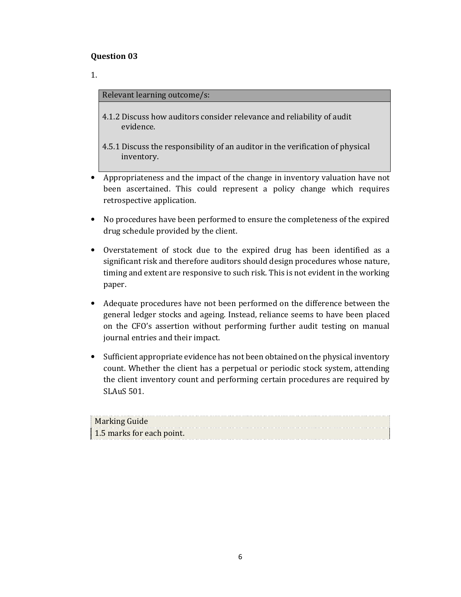1.

## Relevant learning outcome/s:

- 4.1.2 Discuss how auditors consider relevance and reliability of audit evidence.
- 4.5.1 Discuss the responsibility of an auditor in the verification of physical inventory.
- Appropriateness and the impact of the change in inventory valuation have not been ascertained. This could represent a policy change which requires retrospective application.
- No procedures have been performed to ensure the completeness of the expired drug schedule provided by the client.
- Overstatement of stock due to the expired drug has been identified as a significant risk and therefore auditors should design procedures whose nature, timing and extent are responsive to such risk. This is not evident in the working paper.
- Adequate procedures have not been performed on the difference between the general ledger stocks and ageing. Instead, reliance seems to have been placed on the CFO's assertion without performing further audit testing on manual journal entries and their impact.
- Sufficient appropriate evidence has not been obtained on the physical inventory count. Whether the client has a perpetual or periodic stock system, attending the client inventory count and performing certain procedures are required by SLAuS 501.

| <b>Marking Guide</b>      |  |
|---------------------------|--|
| 1.5 marks for each point. |  |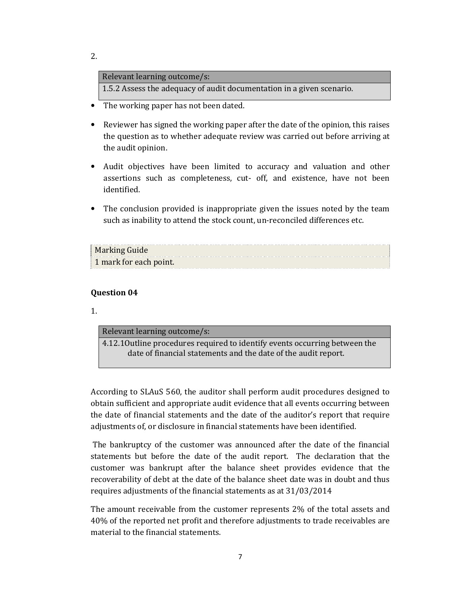| Relevant learning outcome/s:                                          |  |
|-----------------------------------------------------------------------|--|
| 1.5.2 Assess the adequacy of audit documentation in a given scenario. |  |

- The working paper has not been dated.
- Reviewer has signed the working paper after the date of the opinion, this raises the question as to whether adequate review was carried out before arriving at the audit opinion.
- Audit objectives have been limited to accuracy and valuation and other assertions such as completeness, cut- off, and existence, have not been identified.
- The conclusion provided is inappropriate given the issues noted by the team such as inability to attend the stock count, un-reconciled differences etc.

| <b>Marking Guide</b>   |  |
|------------------------|--|
| 1 mark for each point. |  |

#### **Question 04**

1.

| Relevant learning outcome/s:                                                |
|-----------------------------------------------------------------------------|
| 4.12.10 utline procedures required to identify events occurring between the |
| date of financial statements and the date of the audit report.              |
|                                                                             |

According to SLAuS 560, the auditor shall perform audit procedures designed to obtain sufficient and appropriate audit evidence that all events occurring between the date of financial statements and the date of the auditor's report that require adjustments of, or disclosure in financial statements have been identified.

 The bankruptcy of the customer was announced after the date of the financial statements but before the date of the audit report. The declaration that the customer was bankrupt after the balance sheet provides evidence that the recoverability of debt at the date of the balance sheet date was in doubt and thus requires adjustments of the financial statements as at 31/03/2014

The amount receivable from the customer represents 2% of the total assets and 40% of the reported net profit and therefore adjustments to trade receivables are material to the financial statements.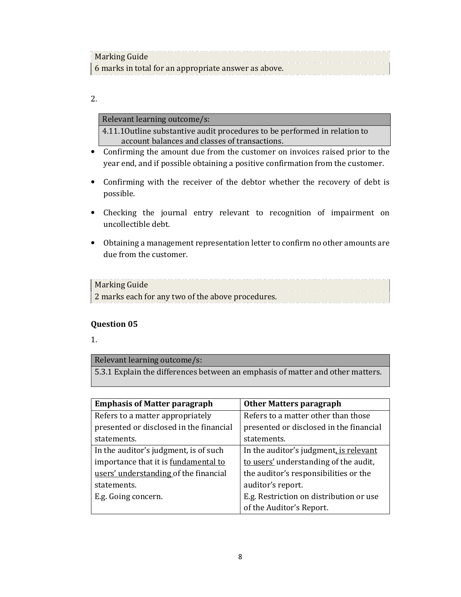| Marking Guide                                        |  |
|------------------------------------------------------|--|
| 6 marks in total for an appropriate answer as above. |  |

#### Relevant learning outcome/s:

4.11.1Outline substantive audit procedures to be performed in relation to account balances and classes of transactions.

- Confirming the amount due from the customer on invoices raised prior to the year end, and if possible obtaining a positive confirmation from the customer.
- Confirming with the receiver of the debtor whether the recovery of debt is possible.
- Checking the journal entry relevant to recognition of impairment on uncollectible debt.
- Obtaining a management representation letter to confirm no other amounts are due from the customer.

## Marking Guide Marking Guide<br>2 marks each for any two of the above procedures.

## **Question 05**

1.

## Relevant learning outcome/s: 5.3.1 Explain the differences between an emphasis of matter and other matters.

| <b>Emphasis of Matter paragraph</b>     | <b>Other Matters paragraph</b>          |
|-----------------------------------------|-----------------------------------------|
| Refers to a matter appropriately        | Refers to a matter other than those     |
| presented or disclosed in the financial | presented or disclosed in the financial |
| statements.                             | statements.                             |
| In the auditor's judgment, is of such   | In the auditor's judgment, is relevant  |
| importance that it is fundamental to    | to users' understanding of the audit,   |
| users' understanding of the financial   | the auditor's responsibilities or the   |
| statements.                             | auditor's report.                       |
| E.g. Going concern.                     | E.g. Restriction on distribution or use |
|                                         | of the Auditor's Report.                |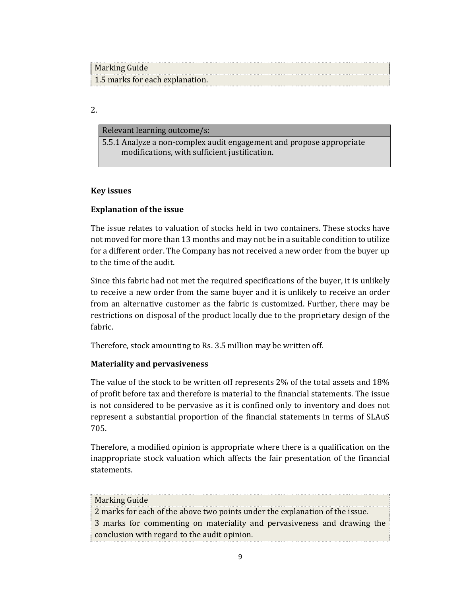| Marking Guide                   |  |
|---------------------------------|--|
| 1.5 marks for each explanation. |  |

Relevant learning outcome/s:

5.5.1 Analyze a non-complex audit engagement and propose appropriate modifications, with sufficient justification.

#### **Key issues**

#### **Explanation of the issue**

The issue relates to valuation of stocks held in two containers. These stocks have not moved for more than 13 months and may not be in a suitable condition to utilize for a different order. The Company has not received a new order from the buyer up to the time of the audit.

Since this fabric had not met the required specifications of the buyer, it is unlikely to receive a new order from the same buyer and it is unlikely to receive an order from an alternative customer as the fabric is customized. Further, there may be restrictions on disposal of the product locally due to the proprietary design of the fabric.

Therefore, stock amounting to Rs. 3.5 million may be written off.

#### **Materiality and pervasiveness**

The value of the stock to be written off represents 2% of the total assets and 18% of profit before tax and therefore is material to the financial statements. The issue is not considered to be pervasive as it is confined only to inventory and does not represent a substantial proportion of the financial statements in terms of SLAuS 705.

Therefore, a modified opinion is appropriate where there is a qualification on the inappropriate stock valuation which affects the fair presentation of the financial statements.

| <b>Marking Guide</b>                                                         |
|------------------------------------------------------------------------------|
| 2 marks for each of the above two points under the explanation of the issue. |
| 3 marks for commenting on materiality and pervasiveness and drawing the      |
| conclusion with regard to the audit opinion.                                 |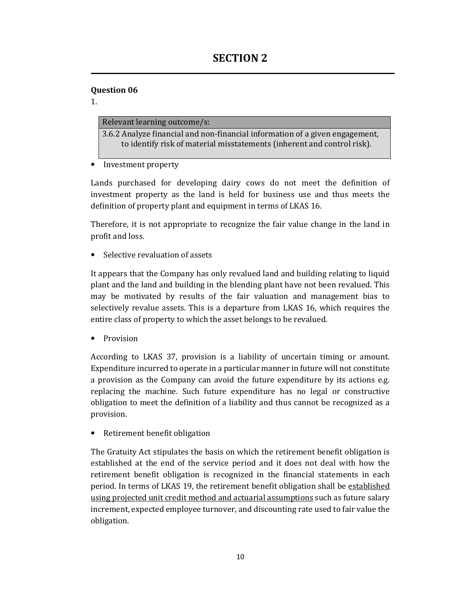1.

## Relevant learning outcome/s:

3.6.2 Analyze financial and non-financial information of a given engagement, to identify risk of material misstatements (inherent and control risk).

• Investment property

Lands purchased for developing dairy cows do not meet the definition of investment property as the land is held for business use and thus meets the definition of property plant and equipment in terms of LKAS 16.

Therefore, it is not appropriate to recognize the fair value change in the land in profit and loss.

• Selective revaluation of assets

It appears that the Company has only revalued land and building relating to liquid plant and the land and building in the blending plant have not been revalued. This may be motivated by results of the fair valuation and management bias to selectively revalue assets. This is a departure from LKAS 16, which requires the entire class of property to which the asset belongs to be revalued.

• Provision

According to LKAS 37, provision is a liability of uncertain timing or amount. Expenditure incurred to operate in a particular manner in future will not constitute a provision as the Company can avoid the future expenditure by its actions e.g. replacing the machine. Such future expenditure has no legal or constructive obligation to meet the definition of a liability and thus cannot be recognized as a provision.

Retirement benefit obligation

The Gratuity Act stipulates the basis on which the retirement benefit obligation is established at the end of the service period and it does not deal with how the retirement benefit obligation is recognized in the financial statements in each period. In terms of LKAS 19, the retirement benefit obligation shall be established using projected unit credit method and actuarial assumptions such as future salary increment, expected employee turnover, and discounting rate used to fair value the obligation.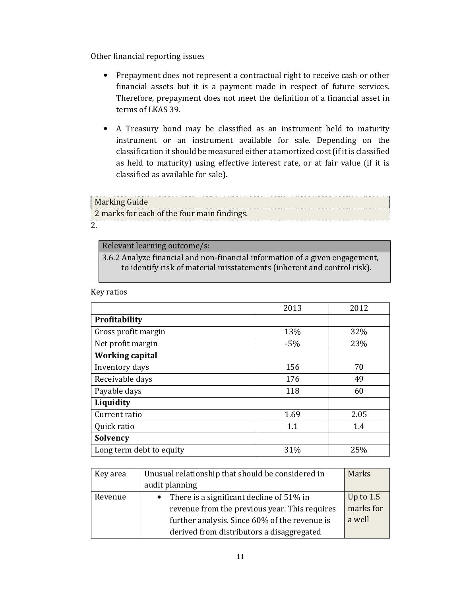Other financial reporting issues

- Prepayment does not represent a contractual right to receive cash or other financial assets but it is a payment made in respect of future services. Therefore, prepayment does not meet the definition of a financial asset in terms of LKAS 39.
- A Treasury bond may be classified as an instrument held to maturity instrument or an instrument available for sale. Depending on the classification it should be measured either at amortized cost (if it is classified as held to maturity) using effective interest rate, or at fair value (if it is classified as available for sale).

Marking Guide 2 marks for each of the four main findings. 2.

#### Relevant learning outcome/s:

3.6.2 Analyze financial and non-financial information of a given engagement, to identify risk of material misstatements (inherent and control risk).

| Key ratios |  |
|------------|--|
|------------|--|

|                          | 2013  | 2012 |
|--------------------------|-------|------|
| <b>Profitability</b>     |       |      |
| Gross profit margin      | 13%   | 32%  |
| Net profit margin        | $-5%$ | 23%  |
| <b>Working capital</b>   |       |      |
| Inventory days           | 156   | 70   |
| Receivable days          | 176   | 49   |
| Payable days             | 118   | 60   |
| Liquidity                |       |      |
| Current ratio            | 1.69  | 2.05 |
| Quick ratio              | 1.1   | 1.4  |
| Solvency                 |       |      |
| Long term debt to equity | 31%   | 25%  |

| Key area | Unusual relationship that should be considered in | Marks       |
|----------|---------------------------------------------------|-------------|
|          | audit planning                                    |             |
| Revenue  | • There is a significant decline of $51\%$ in     | Up to $1.5$ |
|          | revenue from the previous year. This requires     | marks for   |
|          | further analysis. Since 60% of the revenue is     | a well      |
|          | derived from distributors a disaggregated         |             |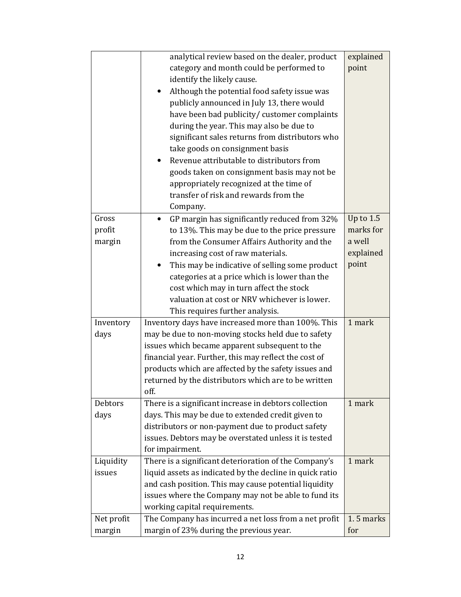|            | analytical review based on the dealer, product            | explained   |
|------------|-----------------------------------------------------------|-------------|
|            | category and month could be performed to                  | point       |
|            | identify the likely cause.                                |             |
|            | Although the potential food safety issue was<br>٠         |             |
|            | publicly announced in July 13, there would                |             |
|            | have been bad publicity/ customer complaints              |             |
|            | during the year. This may also be due to                  |             |
|            | significant sales returns from distributors who           |             |
|            | take goods on consignment basis                           |             |
|            | Revenue attributable to distributors from                 |             |
|            | goods taken on consignment basis may not be               |             |
|            | appropriately recognized at the time of                   |             |
|            | transfer of risk and rewards from the                     |             |
|            | Company.                                                  |             |
| Gross      | GP margin has significantly reduced from 32%<br>$\bullet$ | Up to $1.5$ |
| profit     | to 13%. This may be due to the price pressure             | marks for   |
| margin     | from the Consumer Affairs Authority and the               | a well      |
|            | increasing cost of raw materials.                         | explained   |
|            | This may be indicative of selling some product            | point       |
|            | categories at a price which is lower than the             |             |
|            | cost which may in turn affect the stock                   |             |
|            | valuation at cost or NRV whichever is lower.              |             |
|            | This requires further analysis.                           |             |
| Inventory  | Inventory days have increased more than 100%. This        | 1 mark      |
| days       | may be due to non-moving stocks held due to safety        |             |
|            | issues which became apparent subsequent to the            |             |
|            | financial year. Further, this may reflect the cost of     |             |
|            | products which are affected by the safety issues and      |             |
|            | returned by the distributors which are to be written      |             |
|            | off.                                                      |             |
| Debtors    | There is a significant increase in debtors collection     | 1 mark      |
| days       | days. This may be due to extended credit given to         |             |
|            | distributors or non-payment due to product safety         |             |
|            | issues. Debtors may be overstated unless it is tested     |             |
|            | for impairment.                                           |             |
| Liquidity  | There is a significant deterioration of the Company's     | 1 mark      |
| issues     | liquid assets as indicated by the decline in quick ratio  |             |
|            | and cash position. This may cause potential liquidity     |             |
|            | issues where the Company may not be able to fund its      |             |
|            | working capital requirements.                             |             |
| Net profit | The Company has incurred a net loss from a net profit     | 1.5 marks   |
| margin     | margin of 23% during the previous year.                   | for         |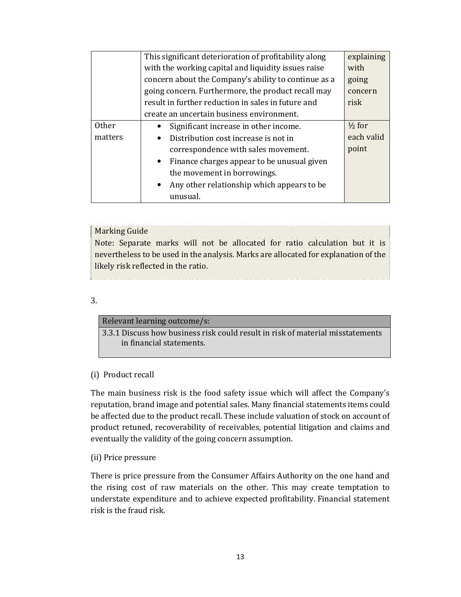|              | This significant deterioration of profitability along | explaining        |  |  |
|--------------|-------------------------------------------------------|-------------------|--|--|
|              | with the working capital and liquidity issues raise   | with              |  |  |
|              | concern about the Company's ability to continue as a  | going             |  |  |
|              | going concern. Furthermore, the product recall may    | concern           |  |  |
|              | result in further reduction in sales in future and    | risk              |  |  |
|              | create an uncertain business environment.             |                   |  |  |
| <b>Other</b> | Significant increase in other income.                 | $\frac{1}{2}$ for |  |  |
| matters      | Distribution cost increase is not in                  | each valid        |  |  |
|              | correspondence with sales movement.                   | point             |  |  |
|              | • Finance charges appear to be unusual given          |                   |  |  |
|              | the movement in borrowings.                           |                   |  |  |
|              | Any other relationship which appears to be            |                   |  |  |
|              | unusual.                                              |                   |  |  |
|              |                                                       |                   |  |  |

#### Marking Guide

Note: Separate marks will not be allocated for ratio calculation but it is nevertheless to be used in the analysis. Marks are allocated for explanation of the likely risk reflected in the ratio.

#### 3.

#### Relevant learning outcome/s:

3.3.1 Discuss how business risk could result in risk of material misstatements in financial statements.

#### (i) Product recall

The main business risk is the food safety issue which will affect the Company's reputation, brand image and potential sales. Many financial statements items could be affected due to the product recall. These include valuation of stock on account of product retuned, recoverability of receivables, potential litigation and claims and eventually the validity of the going concern assumption.

#### (ii) Price pressure

There is price pressure from the Consumer Affairs Authority on the one hand and the rising cost of raw materials on the other. This may create temptation to understate expenditure and to achieve expected profitability. Financial statement risk is the fraud risk.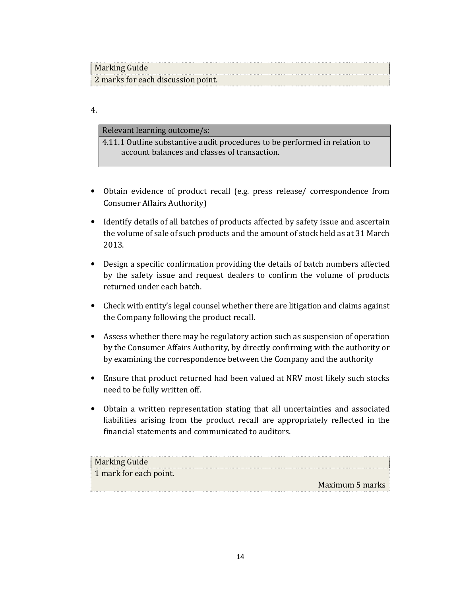| Marking Guide                      |  |
|------------------------------------|--|
| 2 marks for each discussion point. |  |

Relevant learning outcome/s:

4.11.1 Outline substantive audit procedures to be performed in relation to account balances and classes of transaction.

- Obtain evidence of product recall (e.g. press release/ correspondence from Consumer Affairs Authority)
- Identify details of all batches of products affected by safety issue and ascertain the volume of sale of such products and the amount of stock held as at 31 March 2013.
- Design a specific confirmation providing the details of batch numbers affected by the safety issue and request dealers to confirm the volume of products returned under each batch.
- Check with entity's legal counsel whether there are litigation and claims against the Company following the product recall.
- Assess whether there may be regulatory action such as suspension of operation by the Consumer Affairs Authority, by directly confirming with the authority or by examining the correspondence between the Company and the authority
- Ensure that product returned had been valued at NRV most likely such stocks need to be fully written off.
- Obtain a written representation stating that all uncertainties and associated liabilities arising from the product recall are appropriately reflected in the financial statements and communicated to auditors.

| <b>Marking Guide</b>   |  |
|------------------------|--|
| 1 mark for each point. |  |
| Maximum 5 marks        |  |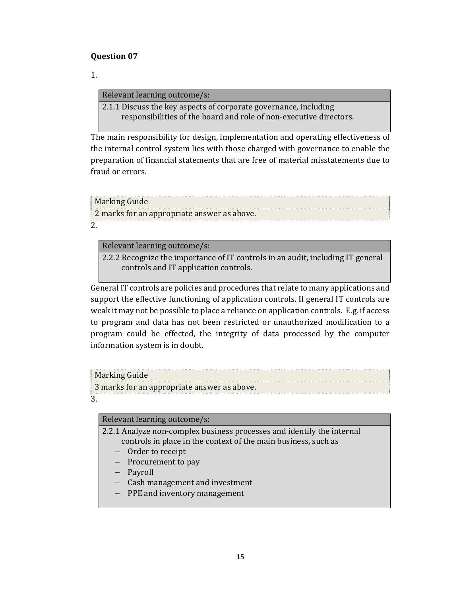1.

#### Relevant learning outcome/s:

2.1.1 Discuss the key aspects of corporate governance, including responsibilities of the board and role of non-executive directors.

The main responsibility for design, implementation and operating effectiveness of the internal control system lies with those charged with governance to enable the preparation of financial statements that are free of material misstatements due to fraud or errors.

| <b>Marking Guide</b>                        |  |
|---------------------------------------------|--|
| 2 marks for an appropriate answer as above. |  |
| c                                           |  |

#### Relevant learning outcome/s:

2.2.2 Recognize the importance of IT controls in an audit, including IT general controls and IT application controls.

General IT controls are policies and procedures that relate to many applications and support the effective functioning of application controls. If general IT controls are weak it may not be possible to place a reliance on application controls. E.g. if access to program and data has not been restricted or unauthorized modification to a program could be effected, the integrity of data processed by the computer information system is in doubt.

## Marking Guide

3 marks for an appropriate answer as above.

3.

## Relevant learning outcome/s:

2.2.1 Analyze non-complex business processes and identify the internal controls in place in the context of the main business, such as

- − Order to receipt
- − Procurement to pay
- − Payroll
- − Cash management and investment
- − PPE and inventory management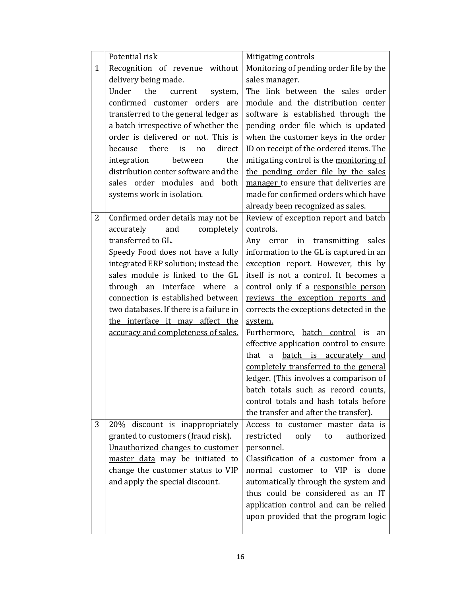|              | Potential risk                                                        | Mitigating controls                                                         |
|--------------|-----------------------------------------------------------------------|-----------------------------------------------------------------------------|
| $\mathbf{1}$ | Recognition of revenue without                                        | Monitoring of pending order file by the                                     |
|              | delivery being made.                                                  | sales manager.                                                              |
|              | Under<br>the<br>current<br>system,                                    | The link between the sales order                                            |
|              | confirmed customer orders are                                         | module and the distribution center                                          |
|              | transferred to the general ledger as                                  | software is established through the                                         |
|              | a batch irrespective of whether the                                   | pending order file which is updated                                         |
|              | order is delivered or not. This is                                    | when the customer keys in the order                                         |
|              | there is<br>direct<br>because<br>no                                   | ID on receipt of the ordered items. The                                     |
|              | the<br>integration<br>between                                         | mitigating control is the monitoring of                                     |
|              | distribution center software and the                                  | the pending order file by the sales                                         |
|              | sales order modules and both                                          | manager to ensure that deliveries are                                       |
|              | systems work in isolation.                                            | made for confirmed orders which have                                        |
|              |                                                                       | already been recognized as sales.                                           |
| 2            | Confirmed order details may not be                                    | Review of exception report and batch                                        |
|              | accurately<br>and<br>completely                                       | controls.                                                                   |
|              | transferred to GL.                                                    | Any error in transmitting<br>sales                                          |
|              | Speedy Food does not have a fully                                     | information to the GL is captured in an                                     |
|              | integrated ERP solution; instead the                                  | exception report. However, this by                                          |
|              | sales module is linked to the GL                                      | itself is not a control. It becomes a                                       |
|              | through an interface where<br>a                                       | control only if a responsible person                                        |
|              | connection is established between                                     | reviews the exception reports and                                           |
|              | two databases. If there is a failure in                               | corrects the exceptions detected in the                                     |
|              | the interface it may affect the                                       | system.                                                                     |
|              | accuracy and completeness of sales.                                   | Furthermore, batch control is<br>an                                         |
|              |                                                                       | effective application control to ensure                                     |
|              |                                                                       | batch is accurately and<br>that<br>a                                        |
|              |                                                                       | completely transferred to the general                                       |
|              |                                                                       | ledger. (This involves a comparison of                                      |
|              |                                                                       | batch totals such as record counts,                                         |
|              |                                                                       | control totals and hash totals before                                       |
|              |                                                                       | the transfer and after the transfer).                                       |
| 3            | 20% discount is inappropriately<br>granted to customers (fraud risk). | Access to customer master data is<br>restricted<br>only<br>authorized<br>to |
|              | Unauthorized changes to customer                                      | personnel.                                                                  |
|              | master data may be initiated to                                       | Classification of a customer from a                                         |
|              | change the customer status to VIP                                     | normal customer to VIP is done                                              |
|              | and apply the special discount.                                       | automatically through the system and                                        |
|              |                                                                       | thus could be considered as an IT                                           |
|              |                                                                       | application control and can be relied                                       |
|              |                                                                       | upon provided that the program logic                                        |
|              |                                                                       |                                                                             |
|              |                                                                       |                                                                             |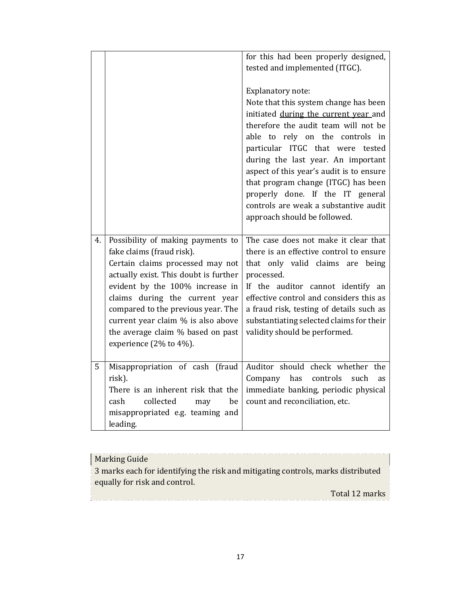|    |                                                                | for this had been properly designed,     |
|----|----------------------------------------------------------------|------------------------------------------|
|    |                                                                | tested and implemented (ITGC).           |
|    |                                                                | Explanatory note:                        |
|    |                                                                | Note that this system change has been    |
|    |                                                                | initiated during the current year and    |
|    |                                                                | therefore the audit team will not be     |
|    |                                                                | able to rely on the controls in          |
|    |                                                                | particular ITGC that were tested         |
|    |                                                                | during the last year. An important       |
|    |                                                                | aspect of this year's audit is to ensure |
|    |                                                                | that program change (ITGC) has been      |
|    |                                                                | properly done. If the IT general         |
|    |                                                                | controls are weak a substantive audit    |
|    |                                                                | approach should be followed.             |
|    |                                                                | The case does not make it clear that     |
| 4. | Possibility of making payments to<br>fake claims (fraud risk). | there is an effective control to ensure  |
|    | Certain claims processed may not                               | that only valid claims are<br>being      |
|    | actually exist. This doubt is further                          | processed.                               |
|    | evident by the 100% increase in                                | If the auditor cannot identify an        |
|    | claims during the current year                                 | effective control and considers this as  |
|    | compared to the previous year. The                             | a fraud risk, testing of details such as |
|    | current year claim % is also above                             | substantiating selected claims for their |
|    | the average claim % based on past                              | validity should be performed.            |
|    | experience (2% to 4%).                                         |                                          |
|    |                                                                |                                          |
| 5  | Misappropriation of cash (fraud                                | Auditor should check whether the         |
|    | risk).                                                         | Company<br>has controls<br>such<br>as    |
|    | There is an inherent risk that the                             | immediate banking, periodic physical     |
|    | collected<br>cash<br>be<br>may                                 | count and reconciliation, etc.           |
|    | misappropriated e.g. teaming and                               |                                          |
|    | leading.                                                       |                                          |

| <b>Marking Guide</b>                                                             |
|----------------------------------------------------------------------------------|
| 3 marks each for identifying the risk and mitigating controls, marks distributed |
| equally for risk and control.                                                    |
| Total 12 marks                                                                   |
|                                                                                  |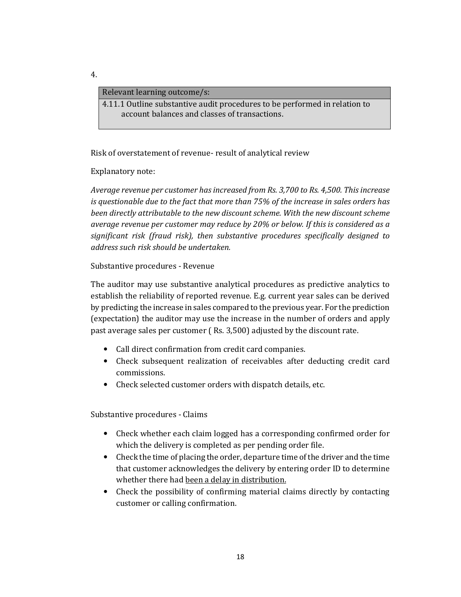#### Relevant learning outcome/s:

4.11.1 Outline substantive audit procedures to be performed in relation to account balances and classes of transactions.

Risk of overstatement of revenue- result of analytical review

Explanatory note:

*Average revenue per customer has increased from Rs. 3,700 to Rs. 4,500. This increase is questionable due to the fact that more than 75% of the increase in sales orders has been directly attributable to the new discount scheme. With the new discount scheme average revenue per customer may reduce by 20% or below. If this is considered as a significant risk (fraud risk), then substantive procedures specifically designed to address such risk should be undertaken.* 

Substantive procedures - Revenue

The auditor may use substantive analytical procedures as predictive analytics to establish the reliability of reported revenue. E.g. current year sales can be derived by predicting the increase in sales compared to the previous year. For the prediction (expectation) the auditor may use the increase in the number of orders and apply past average sales per customer ( Rs. 3,500) adjusted by the discount rate.

- Call direct confirmation from credit card companies.
- Check subsequent realization of receivables after deducting credit card commissions.
- Check selected customer orders with dispatch details, etc.

Substantive procedures - Claims

- Check whether each claim logged has a corresponding confirmed order for which the delivery is completed as per pending order file.
- Check the time of placing the order, departure time of the driver and the time that customer acknowledges the delivery by entering order ID to determine whether there had been a delay in distribution.
- Check the possibility of confirming material claims directly by contacting customer or calling confirmation.

4.